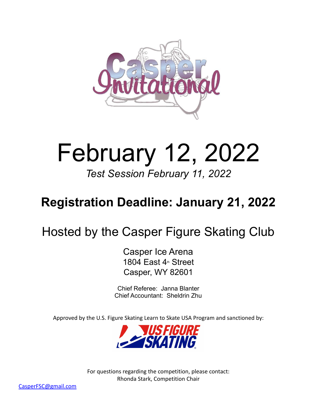

# February 12, 2022

*Test Session February 11, 2022*

# **Registration Deadline: January 21, 2022**

# Hosted by the Casper Figure Skating Club

Casper Ice Arena 1804 East  $4<sup>th</sup>$  Street Casper, WY 82601

Chief Referee: Janna Blanter Chief Accountant: Sheldrin Zhu

Approved by the U.S. Figure Skating Learn to Skate USA Program and sanctioned by:



For questions regarding the competition, please contact: Rhonda Stark, Competition Chair

CasperFSC@gmail.com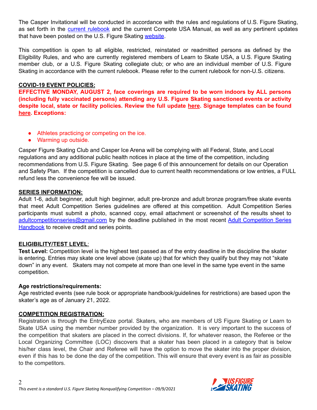The Casper Invitational will be conducted in accordance with the rules and regulations of U.S. Figure Skating, as set forth in the current [rulebook](https://www.usfigureskating.org/about/rules) and the current Compete USA Manual, as well as any pertinent updates that have been posted on the U.S. Figure Skating [website](https://www.usfigureskating.org/members-only/members/technical-notifications).

This competition is open to all eligible, restricted, reinstated or readmitted persons as defined by the Eligibility Rules, and who are currently registered members of Learn to Skate USA, a U.S. Figure Skating member club, or a U.S. Figure Skating collegiate club; or who are an individual member of U.S. Figure Skating in accordance with the current rulebook. Please refer to the current rulebook for non-U.S. citizens.

#### **COVID-19 EVENT POLICIES:**

**EFFECTIVE MONDAY, AUGUST 2, face coverings are required to be worn indoors by ALL persons (including fully vaccinated persons) attending any U.S. Figure Skating sanctioned events or activity despite local, state or facility policies. Review the full update [here](https://www.usfigureskating.org/support/%E2%80%A2%09Replace%20signage%20on%20basecamp%20(Competition%20Leadership%20%E2%80%93%20Docs%20&%20Files%20%E2%80%93%20COVID-19%20Comp.%20Resources)). Signage templates can be found [here](https://www.usfigureskating.org/sites/default/files/media-files/MaskPolicy_June16.pdf). Exceptions:**

- Athletes practicing or competing on the ice.
- Warming up outside.

Casper Figure Skating Club and Casper Ice Arena will be complying with all Federal, State, and Local regulations and any additional public health notices in place at the time of the competition, including recommendations from U.S. Figure Skating. See page 6 of this announcement for details on our Operation and Safety Plan. If the competition is cancelled due to current health recommendations or low entries, a FULL refund less the convenience fee will be issued.

#### **SERIES INFORMATION:**

Adult 1-6, adult beginner, adult high beginner, adult pre-bronze and adult bronze program/free skate events that meet Adult Competition Series guidelines are offered at this competition. Adult Competition Series participants must submit a photo, scanned copy, email attachment or screenshot of the results sheet to [adultcompetitionseries@gmail.com](mailto:adultcompetitionseries@gmail.com) by the deadline published in the most recent Adult [Competition](https://www.usfigureskating.org/skate/skating-opportunities/adult-skating) Series [Handbook](https://www.usfigureskating.org/skate/skating-opportunities/adult-skating) to receive credit and series points.

#### **ELIGIBILITY/TEST LEVEL**:

**Test Level:** Competition level is the highest test passed as of the entry deadline in the discipline the skater is entering. Entries may skate one level above (skate up) that for which they qualify but they may not "skate down" in any event. Skaters may not compete at more than one level in the same type event in the same competition.

#### **Age restrictions/requirements:**

Age restricted events (see rule book or appropriate handbook/guidelines for restrictions) are based upon the skater's age as of January 21, 2022.

#### **COMPETITION REGISTRATION:**

Registration is through the EntryEeze portal. Skaters, who are members of US Figure Skating or Learn to Skate USA using the member number provided by the organization. It is very important to the success of the competition that skaters are placed in the correct divisions. If, for whatever reason, the Referee or the Local Organizing Committee (LOC) discovers that a skater has been placed in a category that is below his/her class level, the Chair and Referee will have the option to move the skater into the proper division, even if this has to be done the day of the competition. This will ensure that every event is as fair as possible to the competitors.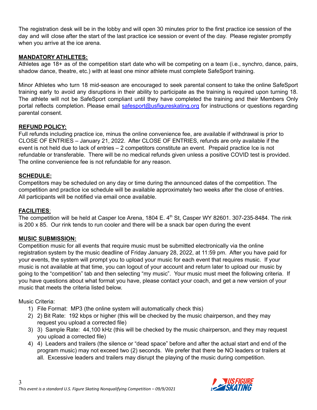The registration desk will be in the lobby and will open 30 minutes prior to the first practice ice session of the day and will close after the start of the last practice ice session or event of the day. Please register promptly when you arrive at the ice arena.

# **MANDATORY ATHLETES:**

Athletes age 18+ as of the competition start date who will be competing on a team (i.e., synchro, dance, pairs, shadow dance, theatre, etc.) with at least one minor athlete must complete SafeSport training.

Minor Athletes who turn 18 mid-season are encouraged to seek parental consent to take the online SafeSport training early to avoid any disruptions in their ability to participate as the training is required upon turning 18. The athlete will not be SafeSport compliant until they have completed the training and their Members Only portal reflects completion. Please email [safesport@usfigureskating.org](mailto:safesport@usfigureskating.org) for instructions or questions regarding parental consent.

# **REFUND POLICY:**

Full refunds including practice ice, minus the online convenience fee, are available if withdrawal is prior to CLOSE OF ENTRIES – January 21, 2022. After CLOSE OF ENTRIES, refunds are only available if the event is not held due to lack of entries – 2 competitors constitute an event. Prepaid practice Ice is not refundable or transferable. There will be no medical refunds given unless a positive COVID test is provided. The online convenience fee is not refundable for any reason.

#### **SCHEDULE:**

Competitors may be scheduled on any day or time during the announced dates of the competition. The competition and practice ice schedule will be available approximately two weeks after the close of entries. All participants will be notified via email once available.

# **FACILITIES**:

The competition will be held at Casper Ice Arena, 1804 E. 4<sup>th</sup> St, Casper WY 82601. 307-235-8484. The rink is 200 x 85. Our rink tends to run cooler and there will be a snack bar open during the event

#### **MUSIC SUBMISSION:**

Competition music for all events that require music must be submitted electronically via the online registration system by the music deadline of Friday January 28, 2022, at 11:59 pm. After you have paid for your events, the system will prompt you to upload your music for each event that requires music. If your music is not available at that time, you can logout of your account and return later to upload our music by going to the "competition" tab and then selecting "my music". Your music must meet the following criteria. If you have questions about what format you have, please contact your coach, and get a new version of your music that meets the criteria listed below.

#### Music Criteria:

- 1) File Format: MP3 (the online system will automatically check this)
- 2) 2) Bit Rate: 192 kbps or higher (this will be checked by the music chairperson, and they may request you upload a corrected file)
- 3) 3) Sample Rate: 44,100 kHz (this will be checked by the music chairperson, and they may request you upload a corrected file)
- 4) 4) Leaders and trailers (the silence or "dead space" before and after the actual start and end of the program music) may not exceed two (2) seconds. We prefer that there be NO leaders or trailers at all. Excessive leaders and trailers may disrupt the playing of the music during competition.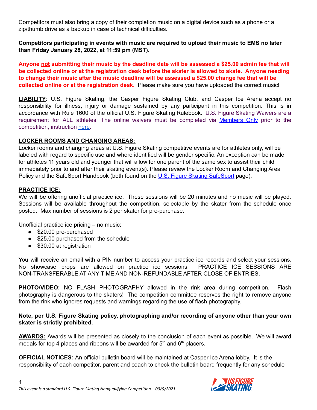Competitors must also bring a copy of their completion music on a digital device such as a phone or a zip/thumb drive as a backup in case of technical difficulties.

**Competitors participating in events with music are required to upload their music to EMS no later than Friday January 28, 2022, at 11:59 pm (MST).**

Anyone not submitting their music by the deadline date will be assessed a \$25.00 admin fee that will **be collected online or at the registration desk before the skater is allowed to skate. Anyone needing to change their music after the music deadline will be assessed a \$25.00 change fee that will be collected online or at the registration desk.** Please make sure you have uploaded the correct music!

**LIABILITY**: U.S. Figure Skating, the Casper Figure Skating Club, and Casper Ice Arena accept no responsibility for illness, injury or damage sustained by any participant in this competition. This is in accordance with Rule 1600 of the official U.S. Figure Skating Rulebook. U.S. Figure Skating Waivers are a requirement for ALL athletes. The online waivers must be completed via [Members](http://www.usfsaonline.org/) Only prior to the competition, instruction [here](https://public.3.basecamp.com/p/rE4qkig51ALjqSFshzeJxCcz).

#### **LOCKER ROOMS AND CHANGING AREAS:**

Locker rooms and changing areas at U.S. Figure Skating competitive events are for athletes only, will be labeled with regard to specific use and where identified will be gender specific. An exception can be made for athletes 11 years old and younger that will allow for one parent of the same sex to assist their child immediately prior to and after their skating event(s). Please review the Locker Room and Changing Area Policy and the [SafeSport](https://www.usfigureskating.org/safesport) Handbook (both found on the U.S. Figure Skating SafeSport page).

#### **PRACTICE ICE:**

We will be offering unofficial practice ice. These sessions will be 20 minutes and no music will be played. Sessions will be available throughout the competition, selectable by the skater from the schedule once posted. Max number of sessions is 2 per skater for pre-purchase.

Unofficial practice ice pricing – no music:

- \$20.00 pre-purchased
- \$25.00 purchased from the schedule
- \$30.00 at registration

You will receive an email with a PIN number to access your practice ice records and select your sessions. No showcase props are allowed on practice ice sessions. PRACTICE ICE SESSIONS ARE NON-TRANSFERABLE AT ANY TIME AND NON-REFUNDABLE AFTER CLOSE OF ENTRIES.

**PHOTO/VIDEO**: NO FLASH PHOTOGRAPHY allowed in the rink area during competition. Flash photography is dangerous to the skaters! The competition committee reserves the right to remove anyone from the rink who ignores requests and warnings regarding the use of flash photography.

#### **Note, per U.S. Figure Skating policy, photographing and/or recording of anyone other than your own skater is strictly prohibited.**

**AWARDS:** Awards will be presented as closely to the conclusion of each event as possible. We will award medals for top 4 places and ribbons will be awarded for  $5<sup>th</sup>$  and  $6<sup>th</sup>$  placers.

**OFFICIAL NOTICES:** An official bulletin board will be maintained at Casper Ice Arena lobby. It is the responsibility of each competitor, parent and coach to check the bulletin board frequently for any schedule

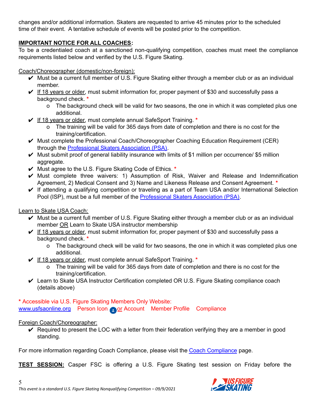changes and/or additional information. Skaters are requested to arrive 45 minutes prior to the scheduled time of their event. A tentative schedule of events will be posted prior to the competition.

# **IMPORTANT NOTICE FOR ALL COACHES:**

To be a credentialed coach at a sanctioned non-qualifying competition, coaches must meet the compliance requirements listed below and verified by the U.S. Figure Skating.

### Coach/Choreographer (domestic/non-foreign):

- $\vee$  Must be a current full member of U.S. Figure Skating either through a member club or as an individual member.
- $\checkmark$  If 18 years or older, must submit information for, proper payment of \$30 and successfully pass a background check. **\***
	- o The background check will be valid for two seasons, the one in which it was completed plus one additional.
- ✔ If 18 years or older, must complete annual SafeSport Training. **\***
	- o The training will be valid for 365 days from date of completion and there is no cost for the training/certification.
- $\vee$  Must complete the Professional Coach/Choreographer Coaching Education Requirement (CER) through the **[Professional](https://skatepsa.com/compliance) Skaters Association (PSA)**.
- $\vee$  Must submit proof of general liability insurance with limits of \$1 million per occurrence/ \$5 million aggregate.
- ✔ Must agree to the U.S. Figure Skating Code of Ethics. **\***
- $\vee$  Must complete three waivers: 1) Assumption of Risk, Waiver and Release and Indemnification Agreement, 2) Medical Consent and 3) Name and Likeness Release and Consent Agreement. **\***
- $\vee$  If attending a qualifying competition or traveling as a part of Team USA and/or International Selection Pool (ISP), must be a full member of the [Professional](https://skatepsa.com/membership) Skaters Association (PSA).

# Learn to Skate USA Coach:

- $\vee$  Must be a current full member of U.S. Figure Skating either through a member club or as an individual member OR Learn to Skate USA instructor membership
- $\vee$  If 18 years or older, must submit information for, proper payment of \$30 and successfully pass a background check. **\***
	- o The background check will be valid for two seasons, the one in which it was completed plus one additional.
- ✔ If 18 years or older, must complete annual SafeSport Training. **\***
	- o The training will be valid for 365 days from date of completion and there is no cost for the training/certification.
- ✔ Learn to Skate USA Instructor Certification completed OR U.S. Figure Skating compliance coach (details above)

**\*** Accessible via U.S. Figure Skating Members Only Website: [www.usfsaonline.org](http://www.usfsaonline.org) Person Icon or Account Member Profile Compliance

# Foreign Coach/Choreographer:

 $\vee$  Required to present the LOC with a letter from their federation verifying they are a member in good standing.

For more information regarding Coach Compliance, please visit the Coach [Compliance](https://www.usfigureskating.org/support/coach/coach-compliance) page.

**TEST SESSION:** Casper FSC is offering a U.S. Figure Skating test session on Friday before the

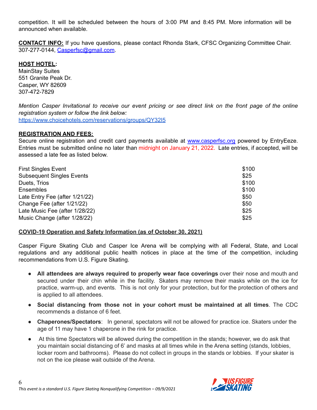competition. It will be scheduled between the hours of 3:00 PM and 8:45 PM. More information will be announced when available.

**CONTACT INFO:** If you have questions, please contact Rhonda Stark, CFSC Organizing Committee Chair. 307-277-0144, [Casperfsc@gmail.com](mailto:Casperfsc@gmail.com).

# **HOST HOTEL:**

MainStay Suites 551 Granite Peak Dr. Casper, WY 82609 307-472-7829

Mention Casper Invitational to receive our event pricing or see direct link on the front page of the online *registration system or follow the link below:* <https://www.choicehotels.com/reservations/groups/QY32I5>

#### **REGISTRATION AND FEES:**

Secure online registration and credit card payments available at [www.casperfsc.org](http://www.casperfsc.org) powered by EntryEeze. Entries must be submitted online no later than midnight on January 21, 2022. Late entries, if accepted, will be assessed a late fee as listed below.

| <b>First Singles Event</b>       | \$100 |
|----------------------------------|-------|
| <b>Subsequent Singles Events</b> | \$25  |
| Duets, Trios                     | \$100 |
| <b>Ensembles</b>                 | \$100 |
| Late Entry Fee (after 1/21/22)   | \$50  |
| Change Fee (after 1/21/22)       | \$50  |
| Late Music Fee (after 1/28/22)   | \$25  |
| Music Change (after 1/28/22)     | \$25  |

#### **COVID-19 Operation and Safety Information (as of October 30, 2021)**

Casper Figure Skating Club and Casper Ice Arena will be complying with all Federal, State, and Local regulations and any additional public health notices in place at the time of the competition, including recommendations from U.S. Figure Skating.

- **All attendees are always required to properly wear face coverings** over their nose and mouth and secured under their chin while in the facility. Skaters may remove their masks while on the ice for practice, warm-up, and events. This is not only for your protection, but for the protection of others and is applied to all attendees.
- **Social distancing from those not in your cohort must be maintained at all times**. The CDC recommends a distance of 6 feet.
- **Chaperones/Spectators**: In general, spectators will not be allowed for practice ice. Skaters under the age of 11 may have 1 chaperone in the rink for practice.
- At this time Spectators will be allowed during the competition in the stands; however, we do ask that you maintain social distancing of 6' and masks at all times while in the Arena setting (stands, lobbies, locker room and bathrooms). Please do not collect in groups in the stands or lobbies. If your skater is not on the ice please wait outside of the Arena.

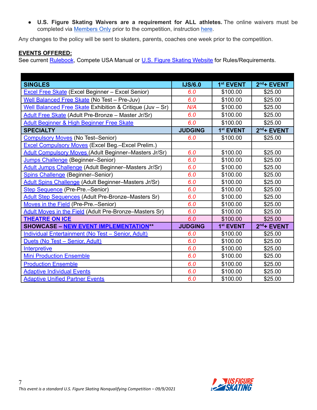● **U.S. Figure Skating Waivers are a requirement for ALL athletes.** The online waivers must be completed via [Members](http://www.usfsaonline.org/) Only prior to the competition, instruction [here](https://public.3.basecamp.com/p/rE4qkig51ALjqSFshzeJxCcz).

Any changes to the policy will be sent to skaters, parents, coaches one week prior to the competition.

#### **EVENTS OFFERED:**

See current **[Rulebook](https://www.usfigureskating.org/about/rules)**, Compete USA Manual or **U.S. Figure Skating [Website](http://www.usfsaonline.org/)** for Rules/Requirements.

| <b>SINGLES</b>                                               | <b>IJS/6.0</b> | 1 <sup>st</sup> EVENT | $2nd$ + EVENT |
|--------------------------------------------------------------|----------------|-----------------------|---------------|
| <b>Excel Free Skate</b> (Excel Beginner - Excel Senior)      | 6.0            | \$100.00              | \$25.00       |
| Well Balanced Free Skate (No Test - Pre-Juv)                 | 6.0            | \$100.00              | \$25.00       |
| Well Balanced Free Skate Exhibition & Critique (Juv - Sr)    | N/A            | \$100.00              | \$25.00       |
| Adult Free Skate (Adult Pre-Bronze - Master Jr/Sr)           | 6.0            | \$100.00              | \$25.00       |
| Adult Beginner & High Beginner Free Skate                    | 6.0            | \$100.00              | \$25.00       |
| <b>SPECIALTY</b>                                             | <b>JUDGING</b> | 1 <sup>st</sup> EVENT | $2nd$ + EVENT |
| <b>Compulsory Moves</b> (No Test-Senior)                     | 6.0            | \$100.00              | \$25.00       |
| <b>Excel Compulsory Moves (Excel Beg.-Excel Prelim.)</b>     |                |                       |               |
| <b>Adult Compulsory Moves (Adult Beginner-Masters Jr/Sr)</b> | 6.0            | \$100.00              | \$25.00       |
| Jumps Challenge (Beginner-Senior)                            | 6.0            | \$100.00              | \$25.00       |
| Adult Jumps Challenge (Adult Beginner-Masters Jr/Sr)         | 6.0            | \$100.00              | \$25.00       |
| <b>Spins Challenge (Beginner-Senior)</b>                     | 6.0            | \$100.00              | \$25.00       |
| Adult Spins Challenge (Adult Beginner-Masters Jr/Sr)         | 6.0            | \$100.00              | \$25.00       |
| Step Sequence (Pre-Pre.-Senior)                              | 6.0            | \$100.00              | \$25.00       |
| <b>Adult Step Sequences (Adult Pre-Bronze-Masters Sr)</b>    | 6.0            | \$100.00              | \$25.00       |
| Moves in the Field (Pre-Pre.-Senior)                         | 6.0            | \$100.00              | \$25.00       |
| Adult Moves in the Field (Adult Pre-Bronze-Masters Sr)       | 6.0            | \$100.00              | \$25.00       |
| <b>THEATRE ON ICE</b>                                        | 6.0            | \$100.00              | \$25.00       |
| <b>SHOWCASE - NEW EVENT IMPLEMENTATION**</b>                 | <b>JUDGING</b> | 1 <sup>st</sup> EVENT | $2nd$ + EVENT |
| Individual Entertainment (No Test - Senior, Adult)           | 6.0            | \$100.00              | \$25.00       |
| Duets (No Test - Senior, Adult)                              | 6.0            | \$100.00              | \$25.00       |
| <b>Interpretive</b>                                          | 6.0            | \$100.00              | \$25.00       |
| <b>Mini Production Ensemble</b>                              | 6.0            | \$100.00              | \$25.00       |
| <b>Production Ensemble</b>                                   | 6.0            | \$100.00              | \$25.00       |
| <b>Adaptive Individual Events</b>                            | 6.0            | \$100.00              | \$25.00       |
| <b>Adaptive Unified Partner Events</b>                       | 6.0            | \$100.00              | \$25.00       |